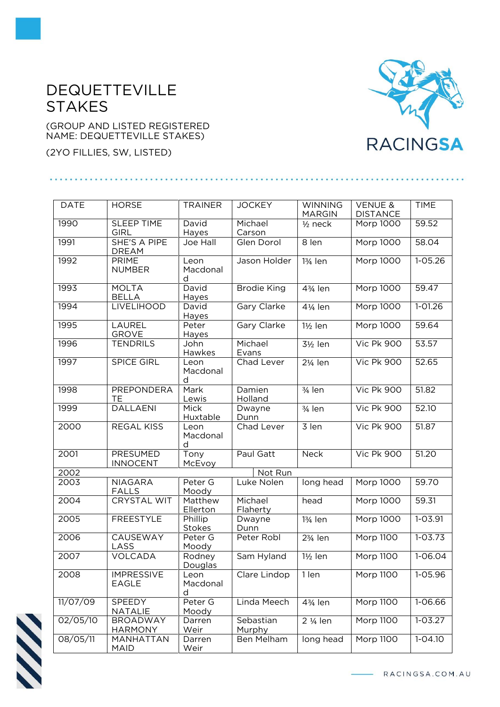## DEQUETTEVILLE **STAKES**

(GROUP AND LISTED REGISTERED NAME: DEQUETTEVILLE STAKES)

(2YO FILLIES, SW, LISTED)

## 

| <b>DATE</b> | <b>HORSE</b>                        | <b>TRAINER</b>               | <b>JOCKEY</b>       | <b>WINNING</b><br><b>MARGIN</b> | <b>VENUE &amp;</b><br><b>DISTANCE</b> | <b>TIME</b> |
|-------------|-------------------------------------|------------------------------|---------------------|---------------------------------|---------------------------------------|-------------|
| 1990        | <b>SLEEP TIME</b><br><b>GIRL</b>    | David<br>Hayes               | Michael<br>Carson   | $1/2$ neck                      | Morp 1000                             | 59.52       |
| 1991        | <b>SHE'S A PIPE</b><br><b>DREAM</b> | Joe Hall                     | Glen Dorol          | 8 len                           | Morp 1000                             | 58.04       |
| 1992        | <b>PRIME</b><br><b>NUMBER</b>       | Leon<br>Macdonal<br>d        | Jason Holder        | 13/ <sub>4</sub> len            | <b>Morp 1000</b>                      | $1 - 05.26$ |
| 1993        | <b>MOLTA</b><br><b>BELLA</b>        | David<br>Hayes               | <b>Brodie King</b>  | 43/ <sub>4</sub> len            | Morp 1000                             | 59.47       |
| 1994        | <b>LIVELIHOOD</b>                   | David<br>Hayes               | Gary Clarke         | 41/ <sub>4</sub> len            | Morp 1000                             | $1 - 01.26$ |
| 1995        | LAUREL<br><b>GROVE</b>              | Peter<br>Hayes               | Gary Clarke         | 1½ len                          | Morp 1000                             | 59.64       |
| 1996        | <b>TENDRILS</b>                     | John<br>Hawkes               | Michael<br>Evans    | 3½ len                          | <b>Vic Pk 900</b>                     | 53.57       |
| 1997        | <b>SPICE GIRL</b>                   | Leon<br>Macdonal<br>d        | Chad Lever          | 21/ <sub>4</sub> len            | <b>Vic Pk 900</b>                     | 52.65       |
| 1998        | PREPONDERA<br>TЕ                    | Mark<br>Lewis                | Damien<br>Holland   | 3/ <sub>4</sub> len             | <b>Vic Pk 900</b>                     | 51.82       |
| 1999        | <b>DALLAENI</b>                     | <b>Mick</b><br>Huxtable      | Dwayne<br>Dunn      | 3/ <sub>4</sub> len             | Vic Pk 900                            | 52.10       |
| 2000        | REGAL KISS                          | Leon<br>Macdonal<br>d        | Chad Lever          | 3 len                           | <b>Vic Pk 900</b>                     | 51.87       |
| 2001        | <b>PRESUMED</b><br><b>INNOCENT</b>  | $\overline{T}$ ony<br>McEvoy | Paul Gatt           | <b>Neck</b>                     | <b>Vic Pk 900</b>                     | 51.20       |
| 2002        |                                     |                              | Not Run             |                                 |                                       |             |
| 2003        | <b>NIAGARA</b><br><b>FALLS</b>      | Peter G<br>Moody             | Luke Nolen          | long head                       | Morp 1000                             | 59.70       |
| 2004        | <b>CRYSTAL WIT</b>                  | Matthew<br>Ellerton          | Michael<br>Flaherty | head                            | Morp 1000                             | 59.31       |
| 2005        | <b>FREESTYLE</b>                    | Phillip<br>Stokes            | Dwayne<br>Dunn      | 13/ <sub>4</sub> len            | Morp 1000                             | 1-03.91     |
| 2006        | <b>CAUSEWAY</b><br>LASS             | Peter G<br>Moody             | Peter Robl          | 23/ <sub>4</sub> len            | <b>Morp 1100</b>                      | $1 - 03.73$ |
| 2007        | VOLCADA                             | Rodney<br>Douglas            | Sam Hyland          | $1\frac{1}{2}$ len              | Morp 1100                             | 1-06.04     |
| 2008        | <b>IMPRESSIVE</b><br>EAGLE          | Leon<br>Macdonal<br>d        | Clare Lindop        | 1 len                           | Morp 1100                             | $1-05.96$   |
| 11/07/09    | <b>SPEEDY</b><br>NATALIE            | Peter G<br>Moody             | Linda Meech         | 43/ <sub>4</sub> len            | Morp 1100                             | 1-06.66     |
| 02/05/10    | <b>BROADWAY</b><br><b>HARMONY</b>   | Darren<br>Weir               | Sebastian<br>Murphy | 2 1/ <sub>4</sub> len           | <b>Morp 1100</b>                      | $1 - 03.27$ |
| 08/05/11    | MANHATTAN<br><b>MAID</b>            | Darren<br>Weir               | Ben Melham          | long head                       | Morp 1100                             | 1-04.10     |